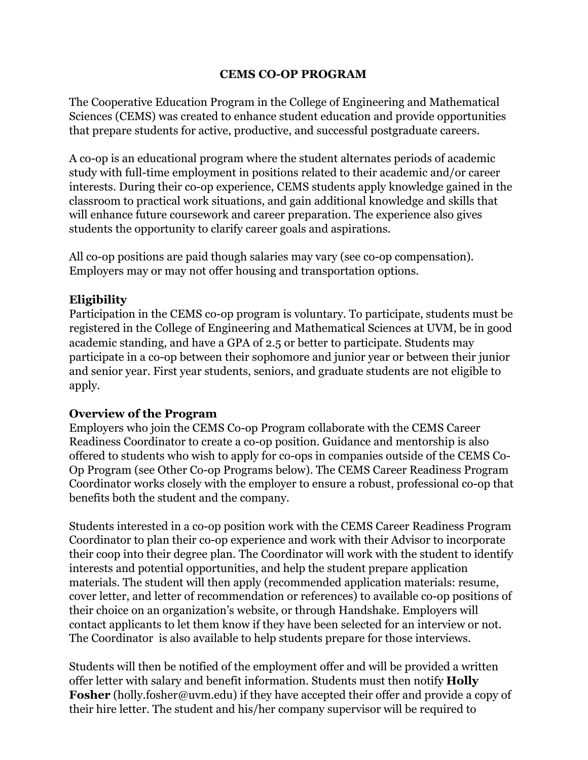## **CEMS CO-OP PROGRAM**

The Cooperative Education Program in the College of Engineering and Mathematical Sciences (CEMS) was created to enhance student education and provide opportunities that prepare students for active, productive, and successful postgraduate careers.

A co-op is an educational program where the student alternates periods of academic study with full-time employment in positions related to their academic and/or career interests. During their co-op experience, CEMS students apply knowledge gained in the classroom to practical work situations, and gain additional knowledge and skills that will enhance future coursework and career preparation. The experience also gives students the opportunity to clarify career goals and aspirations.

All co-op positions are paid though salaries may vary (see co-op compensation). Employers may or may not offer housing and transportation options.

## **Eligibility**

Participation in the CEMS co-op program is voluntary. To participate, students must be registered in the College of Engineering and Mathematical Sciences at UVM, be in good academic standing, and have a GPA of 2.5 or better to participate. Students may participate in a co-op between their sophomore and junior year or between their junior and senior year. First year students, seniors, and graduate students are not eligible to apply.

## **Overview of the Program**

Employers who join the CEMS Co-op Program collaborate with the CEMS Career Readiness Coordinator to create a co-op position. Guidance and mentorship is also offered to students who wish to apply for co-ops in companies outside of the CEMS Co-Op Program (see Other Co-op Programs below). The CEMS Career Readiness Program Coordinator works closely with the employer to ensure a robust, professional co-op that benefits both the student and the company.

Students interested in a co-op position work with the CEMS Career Readiness Program Coordinator to plan their co-op experience and work with their Advisor to incorporate their coop into their degree plan. The Coordinator will work with the student to identify interests and potential opportunities, and help the student prepare application materials. The student will then apply (recommended application materials: resume, cover letter, and letter of recommendation or references) to available co-op positions of their choice on an organization's website, or through Handshake. Employers will contact applicants to let them know if they have been selected for an interview or not. The Coordinator is also available to help students prepare for those interviews.

Students will then be notified of the employment offer and will be provided a written offer letter with salary and benefit information. Students must then notify **Holly Fosher** (holly.fosher@uvm.edu) if they have accepted their offer and provide a copy of their hire letter. The student and his/her company supervisor will be required to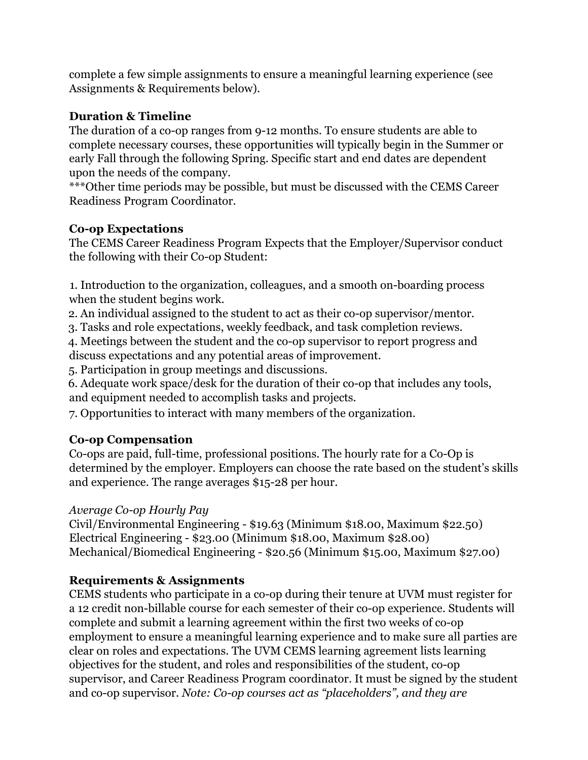complete a few simple assignments to ensure a meaningful learning experience (see Assignments & Requirements below).

## **Duration & Timeline**

The duration of a co-op ranges from 9-12 months. To ensure students are able to complete necessary courses, these opportunities will typically begin in the Summer or early Fall through the following Spring. Specific start and end dates are dependent upon the needs of the company.

\*\*\*Other time periods may be possible, but must be discussed with the CEMS Career Readiness Program Coordinator.

## **Co-op Expectations**

The CEMS Career Readiness Program Expects that the Employer/Supervisor conduct the following with their Co-op Student:

1. Introduction to the organization, colleagues, and a smooth on-boarding process when the student begins work.

2. An individual assigned to the student to act as their co-op supervisor/mentor.

3. Tasks and role expectations, weekly feedback, and task completion reviews.

4. Meetings between the student and the co-op supervisor to report progress and discuss expectations and any potential areas of improvement.

5. Participation in group meetings and discussions.

6. Adequate work space/desk for the duration of their co-op that includes any tools, and equipment needed to accomplish tasks and projects.

7. Opportunities to interact with many members of the organization.

# **Co-op Compensation**

Co-ops are paid, full-time, professional positions. The hourly rate for a Co-Op is determined by the employer. Employers can choose the rate based on the student's skills and experience. The range averages \$15-28 per hour.

## *Average Co-op Hourly Pay*

Civil/Environmental Engineering - \$19.63 (Minimum \$18.00, Maximum \$22.50) Electrical Engineering - \$23.00 (Minimum \$18.00, Maximum \$28.00) Mechanical/Biomedical Engineering - \$20.56 (Minimum \$15.00, Maximum \$27.00)

## **Requirements & Assignments**

CEMS students who participate in a co-op during their tenure at UVM must register for a 12 credit non-billable course for each semester of their co-op experience. Students will complete and submit a learning agreement within the first two weeks of co-op employment to ensure a meaningful learning experience and to make sure all parties are clear on roles and expectations. The UVM CEMS learning agreement lists learning objectives for the student, and roles and responsibilities of the student, co-op supervisor, and Career Readiness Program coordinator. It must be signed by the student and co-op supervisor. *Note: Co-op courses act as "placeholders", and they are*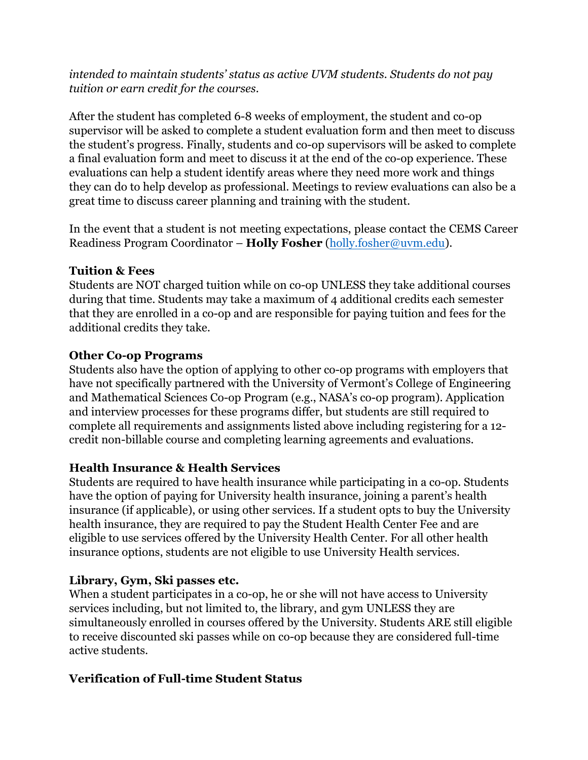*intended to maintain students' status as active UVM students. Students do not pay tuition or earn credit for the courses.*

After the student has completed 6-8 weeks of employment, the student and co-op supervisor will be asked to complete a student evaluation form and then meet to discuss the student's progress. Finally, students and co-op supervisors will be asked to complete a final evaluation form and meet to discuss it at the end of the co-op experience. These evaluations can help a student identify areas where they need more work and things they can do to help develop as professional. Meetings to review evaluations can also be a great time to discuss career planning and training with the student.

In the event that a student is not meeting expectations, please contact the CEMS Career Readiness Program Coordinator – **Holly Fosher** (holly.fosher@uvm.edu).

## **Tuition & Fees**

Students are NOT charged tuition while on co-op UNLESS they take additional courses during that time. Students may take a maximum of 4 additional credits each semester that they are enrolled in a co-op and are responsible for paying tuition and fees for the additional credits they take.

#### **Other Co-op Programs**

Students also have the option of applying to other co-op programs with employers that have not specifically partnered with the University of Vermont's College of Engineering and Mathematical Sciences Co-op Program (e.g., NASA's co-op program). Application and interview processes for these programs differ, but students are still required to complete all requirements and assignments listed above including registering for a 12 credit non-billable course and completing learning agreements and evaluations.

## **Health Insurance & Health Services**

Students are required to have health insurance while participating in a co-op. Students have the option of paying for University health insurance, joining a parent's health insurance (if applicable), or using other services. If a student opts to buy the University health insurance, they are required to pay the Student Health Center Fee and are eligible to use services offered by the University Health Center. For all other health insurance options, students are not eligible to use University Health services.

## **Library, Gym, Ski passes etc.**

When a student participates in a co-op, he or she will not have access to University services including, but not limited to, the library, and gym UNLESS they are simultaneously enrolled in courses offered by the University. Students ARE still eligible to receive discounted ski passes while on co-op because they are considered full-time active students.

## **Verification of Full-time Student Status**